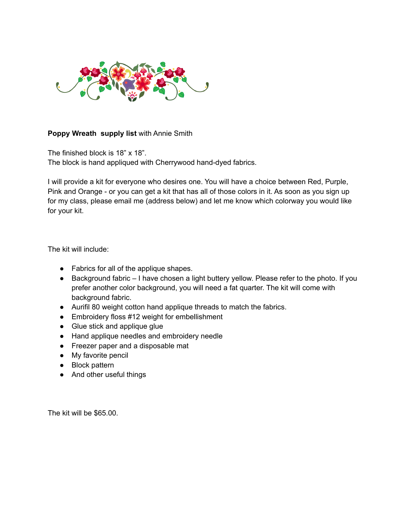

## **Poppy Wreath supply list** with Annie Smith

The finished block is 18" x 18". The block is hand appliqued with Cherrywood hand-dyed fabrics.

I will provide a kit for everyone who desires one. You will have a choice between Red, Purple, Pink and Orange - or you can get a kit that has all of those colors in it. As soon as you sign up for my class, please email me (address below) and let me know which colorway you would like for your kit.

The kit will include:

- Fabrics for all of the applique shapes.
- Background fabric I have chosen a light buttery yellow. Please refer to the photo. If you prefer another color background, you will need a fat quarter. The kit will come with background fabric.
- Aurifil 80 weight cotton hand applique threads to match the fabrics.
- Embroidery floss #12 weight for embellishment
- Glue stick and applique glue
- Hand applique needles and embroidery needle
- Freezer paper and a disposable mat
- My favorite pencil
- Block pattern
- And other useful things

The kit will be \$65.00.